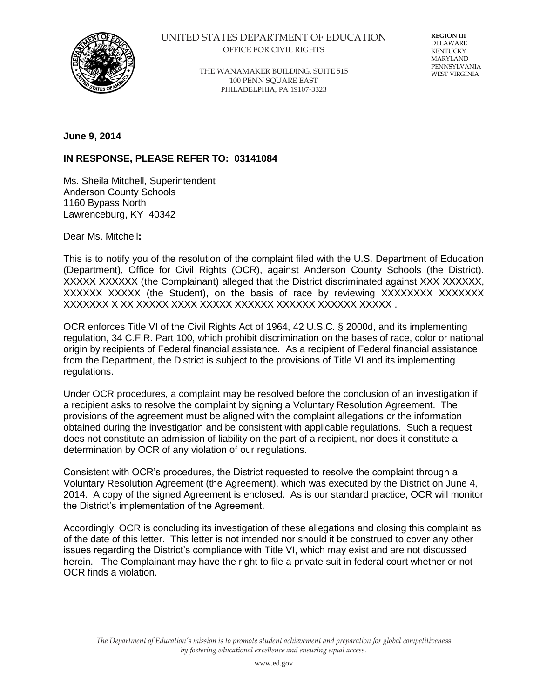

## UNITED STATES DEPARTMENT OF EDUCATION OFFICE FOR CIVIL RIGHTS

THE WANAMAKER BUILDING, SUITE 515 100 PENN SQUARE EAST PHILADELPHIA, PA 19107-3323

**REGION III** DELAWARE KENTUCKY MARYLAND PENNSYLVANIA WEST VIRGINIA

**June 9, 2014** 

## **IN RESPONSE, PLEASE REFER TO: 03141084**

Ms. Sheila Mitchell, Superintendent Anderson County Schools 1160 Bypass North Lawrenceburg, KY 40342

Dear Ms. Mitchell**:** 

This is to notify you of the resolution of the complaint filed with the U.S. Department of Education (Department), Office for Civil Rights (OCR), against Anderson County Schools (the District). XXXXX XXXXXX (the Complainant) alleged that the District discriminated against XXX XXXXXX, XXXXXX XXXXX (the Student), on the basis of race by reviewing XXXXXXXX XXXXXXX XXXXXXX X XX XXXXX XXXX XXXXX XXXXXX XXXXXX XXXXXX XXXXX .

OCR enforces Title VI of the Civil Rights Act of 1964, 42 U.S.C. § 2000d, and its implementing regulation, 34 C.F.R. Part 100, which prohibit discrimination on the bases of race, color or national origin by recipients of Federal financial assistance. As a recipient of Federal financial assistance from the Department, the District is subject to the provisions of Title VI and its implementing regulations.

Under OCR procedures, a complaint may be resolved before the conclusion of an investigation if a recipient asks to resolve the complaint by signing a Voluntary Resolution Agreement. The provisions of the agreement must be aligned with the complaint allegations or the information obtained during the investigation and be consistent with applicable regulations. Such a request does not constitute an admission of liability on the part of a recipient, nor does it constitute a determination by OCR of any violation of our regulations.

Consistent with OCR's procedures, the District requested to resolve the complaint through a Voluntary Resolution Agreement (the Agreement), which was executed by the District on June 4, 2014. A copy of the signed Agreement is enclosed. As is our standard practice, OCR will monitor the District's implementation of the Agreement.

Accordingly, OCR is concluding its investigation of these allegations and closing this complaint as of the date of this letter. This letter is not intended nor should it be construed to cover any other issues regarding the District's compliance with Title VI, which may exist and are not discussed herein. The Complainant may have the right to file a private suit in federal court whether or not OCR finds a violation.